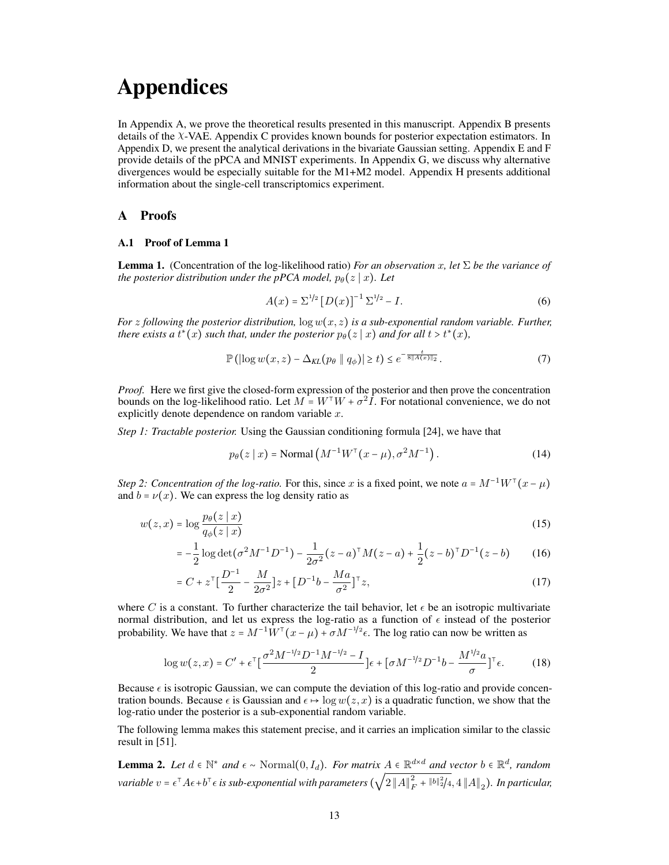# Appendices

In Appendix [A,](#page-0-0) we prove the theoretical results presented in this manuscript. Appendix [B](#page-2-0) presents details of the χ-VAE. Appendix [C](#page-3-0) provides known bounds for posterior expectation estimators. In Appendix [D,](#page-4-0) we present the analytical derivations in the bivariate Gaussian setting. Appendix [E](#page-5-0) and [F](#page-7-0) provide details of the pPCA and MNIST experiments. In Appendix [G,](#page-9-0) we discuss why alternative divergences would be especially suitable for the M1+M2 model. Appendix [H](#page-10-0) presents additional information about the single-cell transcriptomics experiment.

## <span id="page-0-0"></span>A Proofs

#### A.1 Proof of Lemma [1](#page--1-0)

**Lemma 1.** (Concentration of the log-likelihood ratio) *For an observation* x, let  $\Sigma$  *be the variance of the posterior distribution under the pPCA model,*  $p_{\theta}(z | x)$ *. Let* 

$$
A(x) = \Sigma^{1/2} [D(x)]^{-1} \Sigma^{1/2} - I.
$$
 (6)

*For* z following the posterior distribution,  $\log w(x, z)$  *is a sub-exponential random variable. Further, there exists a*  $t^*(x)$  *such that, under the posterior*  $p_\theta(z \,|\, x)$  *and for all t* >  $t^*(x)$ *,* 

$$
\mathbb{P}\left(\left|\log w(x,z) - \Delta_{KL}(p_{\theta} \parallel q_{\phi})\right| \ge t\right) \le e^{-\frac{t}{8\|A(x)\|_2}}.\tag{7}
$$

*Proof.* Here we first give the closed-form expression of the posterior and then prove the concentration bounds on the log-likelihood ratio. Let  $M = W^{\top}W + \sigma^2 I$ . For notational convenience, we do not explicitly denote dependence on random variable  $x$ .

*Step 1: Tractable posterior.* Using the Gaussian conditioning formula [\[24\]](#page--1-1), we have that

$$
p_{\theta}(z \mid x) = \text{Normal}\left(M^{-1}W^{\top}(x-\mu), \sigma^2 M^{-1}\right). \tag{14}
$$

*Step 2: Concentration of the log-ratio.* For this, since x is a fixed point, we note  $a = M^{-1}W^{\top}(x - \mu)$ and  $b = \nu(x)$ . We can express the log density ratio as

$$
w(z,x) = \log \frac{p_{\theta}(z \mid x)}{q_{\phi}(z \mid x)}
$$
\n<sup>(15)</sup>

$$
= -\frac{1}{2}\log \det(\sigma^2 M^{-1} D^{-1}) - \frac{1}{2\sigma^2} (z - a)^{\top} M (z - a) + \frac{1}{2}(z - b)^{\top} D^{-1} (z - b) \tag{16}
$$

$$
= C + z^{\mathsf{T}} \left[ \frac{D^{-1}}{2} - \frac{M}{2\sigma^2} \right] z + \left[ D^{-1}b - \frac{Ma}{\sigma^2} \right]^\mathsf{T} z,\tag{17}
$$

where C is a constant. To further characterize the tail behavior, let  $\epsilon$  be an isotropic multivariate normal distribution, and let us express the log-ratio as a function of  $\epsilon$  instead of the posterior probability. We have that  $z = M^{-1}W^{\top}(x - \mu) + \sigma M^{-1/2}\epsilon$ . The log ratio can now be written as

$$
\log w(z, x) = C' + \epsilon^{\top} \left[ \frac{\sigma^2 M^{-1/2} D^{-1} M^{-1/2} - I}{2} \right] \epsilon + \left[ \sigma M^{-1/2} D^{-1} b - \frac{M^{1/2} a}{\sigma} \right]^{\top} \epsilon. \tag{18}
$$

Because  $\epsilon$  is isotropic Gaussian, we can compute the deviation of this log-ratio and provide concentration bounds. Because  $\epsilon$  is Gaussian and  $\epsilon \mapsto \log w(z, x)$  is a quadratic function, we show that the log-ratio under the posterior is a sub-exponential random variable.

The following lemma makes this statement precise, and it carries an implication similar to the classic result in [\[51\]](#page--1-2).

<span id="page-0-1"></span>**Lemma 2.** Let  $d \in \mathbb{N}^*$  and  $\epsilon \sim \text{Normal}(0, I_d)$ . For matrix  $A \in \mathbb{R}^{d \times d}$  and vector  $b \in \mathbb{R}^d$ , random  $\alpha$  *variable*  $v=\epsilon^\top A\epsilon+b^\top\epsilon$  is sub-exponential with parameters  $(\sqrt{2}\left\|A\right\|_F^2+\|b\|_2^2/4,4\left\|A\right\|_2).$  In particular,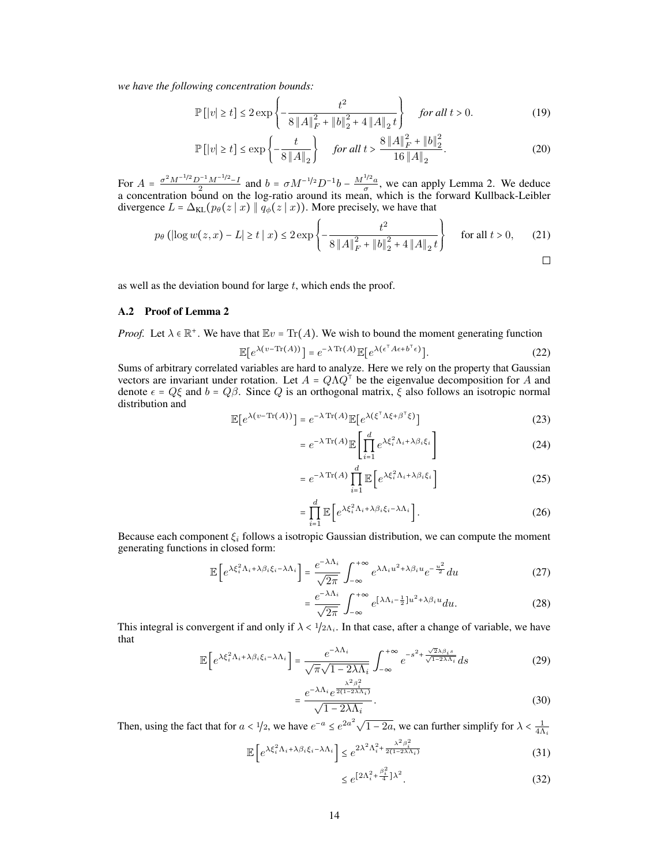*we have the following concentration bounds:*

$$
\mathbb{P}\left[|v| \ge t\right] \le 2 \exp\left\{-\frac{t^2}{8\left\|A\right\|_F^2 + \left\|b\right\|_2^2 + 4\left\|A\right\|_2 t}\right\} \quad \text{for all } t > 0. \tag{19}
$$

$$
\mathbb{P}\left[|v| \ge t\right] \le \exp\left\{-\frac{t}{8\left\|A\right\|_2}\right\} \quad \text{for all } t > \frac{8\left\|A\right\|_F^2 + \left\|b\right\|_2^2}{16\left\|A\right\|_2}.\tag{20}
$$

For  $A = \frac{\sigma^2 M^{-1/2} D^{-1} M^{-1/2} - I}{2}$  and  $b = \sigma M^{-1/2} D^{-1} b - \frac{M^{1/2} a}{\sigma}$ , we can apply Lemma [2.](#page-0-1) We deduce a concentration bound on the log-ratio around its mean, which is the forward Kullback-Leibler divergence  $L = \Delta_{KL}(p_{\theta}(z | x) || q_{\phi}(z | x))$ . More precisely, we have that

$$
p_{\theta} \left( \left| \log w(z, x) - L \right| \ge t \mid x \right) \le 2 \exp \left\{ - \frac{t^2}{8 \left\| A \right\|_F^2 + \left\| b \right\|_2^2 + 4 \left\| A \right\|_2 t} \right\} \quad \text{for all } t > 0, \qquad (21)
$$

as well as the deviation bound for large  $t$ , which ends the proof.

## A.2 Proof of Lemma [2](#page-0-1)

*Proof.* Let  $\lambda \in \mathbb{R}^+$ . We have that  $\mathbb{E}v = \text{Tr}(A)$ . We wish to bound the moment generating function

$$
\mathbb{E}[e^{\lambda(v-\text{Tr}(A))}] = e^{-\lambda \text{Tr}(A)} \mathbb{E}[e^{\lambda(\epsilon^{\top}A\epsilon + b^{\top}\epsilon)}].
$$
 (22)

Sums of arbitrary correlated variables are hard to analyze. Here we rely on the property that Gaussian vectors are invariant under rotation. Let  $A = Q \Lambda Q^{\dagger}$  be the eigenvalue decomposition for A and denote  $\epsilon = Q\xi$  and  $b = Q\beta$ . Since Q is an orthogonal matrix,  $\xi$  also follows an isotropic normal distribution and

$$
\mathbb{E}[e^{\lambda(v-\text{Tr}(A))}] = e^{-\lambda \text{Tr}(A)} \mathbb{E}[e^{\lambda(\xi^{\top} \Lambda \xi + \beta^{\top} \xi)}]
$$
(23)

$$
= e^{-\lambda \operatorname{Tr}(A)} \mathbb{E} \left[ \prod_{i=1}^{d} e^{\lambda \xi_i^2 \Lambda_i + \lambda \beta_i \xi_i} \right]
$$
 (24)

$$
= e^{-\lambda \operatorname{Tr}(A)} \prod_{i=1}^{d} \mathbb{E}\left[e^{\lambda \xi_i^2 \Lambda_i + \lambda \beta_i \xi_i}\right]
$$
 (25)

$$
= \prod_{i=1}^{d} \mathbb{E}\left[e^{\lambda \xi_i^2 \Lambda_i + \lambda \beta_i \xi_i - \lambda \Lambda_i}\right].
$$
 (26)

Because each component  $\xi_i$  follows a isotropic Gaussian distribution, we can compute the moment generating functions in closed form:

$$
\mathbb{E}\left[e^{\lambda\xi_i^2\Lambda_i + \lambda\beta_i\xi_i - \lambda\Lambda_i}\right] = \frac{e^{-\lambda\Lambda_i}}{\sqrt{2\pi}} \int_{-\infty}^{+\infty} e^{\lambda\Lambda_i u^2 + \lambda\beta_i u} e^{-\frac{u^2}{2}} du \tag{27}
$$

$$
=\frac{e^{-\lambda\Lambda_i}}{\sqrt{2\pi}}\int_{-\infty}^{+\infty}e^{[\lambda\Lambda_i-\frac{1}{2}]u^2+\lambda\beta_i u}du.
$$
 (28)

This integral is convergent if and only if  $\lambda < 1/2\Lambda_i$ . In that case, after a change of variable, we have that

$$
\mathbb{E}\left[e^{\lambda \xi_i^2 \Lambda_i + \lambda \beta_i \xi_i - \lambda \Lambda_i}\right] = \frac{e^{-\lambda \Lambda_i}}{\sqrt{\pi} \sqrt{1 - 2\lambda \Lambda_i}} \int_{-\infty}^{+\infty} e^{-s^2 + \frac{\sqrt{2}\lambda \beta_i s}{\sqrt{1 - 2\lambda \Lambda_i}}} ds
$$
(29)

$$
=\frac{e^{-\lambda\Lambda_i}e^{\frac{\lambda^2\beta_i^2}{2(1-2\lambda\Lambda_i)}}}{\sqrt{1-2\lambda\Lambda_i}}.\tag{30}
$$

Then, using the fact that for  $a < 1/2$ , we have  $e^{-a} \le e^{2a^2} \sqrt{1-2a}$ , we can further simplify for  $\lambda < \frac{1}{4\Lambda_i}$ 

$$
\mathbb{E}\left[e^{\lambda \xi_i^2 \Lambda_i + \lambda \beta_i \xi_i - \lambda \Lambda_i}\right] \le e^{2\lambda^2 \Lambda_i^2 + \frac{\lambda^2 \beta_i^2}{2(1 - 2\lambda \Lambda_i)}}\tag{31}
$$

$$
\leq e^{\left[2\Lambda_i^2 + \frac{\beta_i^2}{4}\right]\lambda^2}.\tag{32}
$$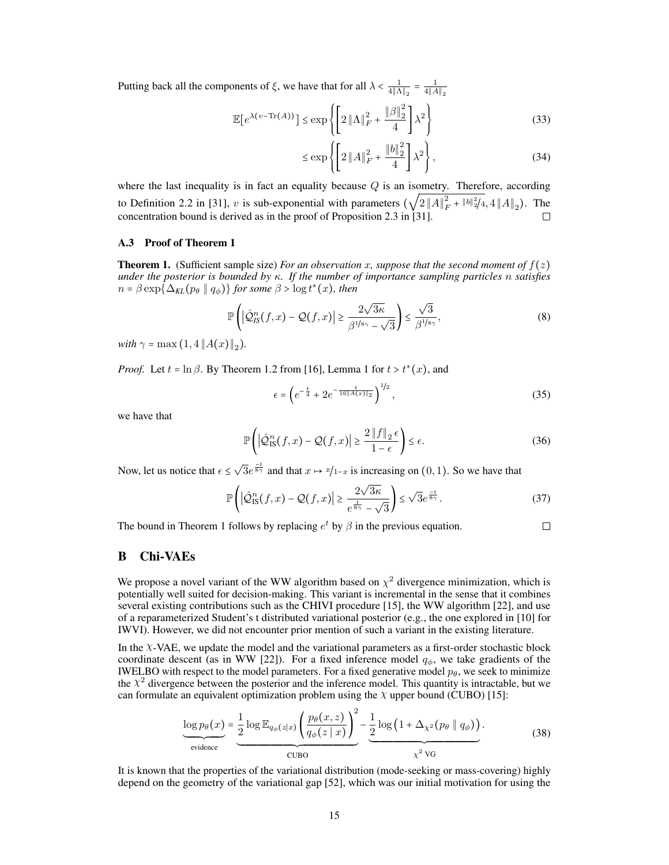Putting back all the components of  $\xi$ , we have that for all  $\lambda < \frac{1}{4||\Lambda||_2} = \frac{1}{4||A||_2}$ 

$$
\mathbb{E}\left[e^{\lambda(v-\text{Tr}(A))}\right] \leq \exp\left\{ \left[2\left\|\Lambda\right\|_{F}^{2} + \frac{\left\|\beta\right\|_{2}^{2}}{4}\right] \lambda^{2} \right\}
$$
(33)

$$
\leq \exp\left\{ \left[ 2\left\| A \right\|_F^2 + \frac{\left\| b \right\|_2^2}{4} \right] \lambda^2 \right\},\tag{34}
$$

where the last inequality is in fact an equality because  $Q$  is an isometry. Therefore, according to Definition 2.2 in [\[31\]](#page--1-3), v is sub-exponential with parameters  $(\sqrt{2}||A||_F^2 + ||b||_2^2/4, 4||A||_2)$ . The concentration bound is derived as in the proof of Proposition 2.3 in [\[31\]](#page--1-3).

#### A.3 Proof of Theorem [1](#page--1-4)

**Theorem 1.** (Sufficient sample size) *For an observation* x, suppose that the second moment of  $f(z)$ *under the posterior is bounded by* κ*. If the number of importance sampling particles* n *satisfies*  $n = \beta \exp \{\Delta_{\text{KL}}(p_\theta \parallel q_\phi)\}$  for some  $\beta > \log t^*(x)$ , then

$$
\mathbb{P}\left(\left|\hat{\mathcal{Q}}_{IS}^{n}(f,x)-\mathcal{Q}(f,x)\right|\geq\frac{2\sqrt{3\kappa}}{\beta^{1/s_{\gamma}}-\sqrt{3}}\right)\leq\frac{\sqrt{3}}{\beta^{1/s_{\gamma}}},\tag{8}
$$

*with*  $\gamma = \max(1, 4 ||A(x)||_2)$ .

*Proof.* Let  $t = \ln \beta$ . By Theorem 1.2 from [\[16\]](#page--1-5), Lemma 1 for  $t > t^*(x)$ , and

$$
\epsilon = \left( e^{-\frac{t}{4}} + 2e^{-\frac{t}{16\|A(x)\|_2}} \right)^{1/2},\tag{35}
$$

 $\Box$ 

we have that

$$
\mathbb{P}\left(\left|\hat{\mathcal{Q}}_{\text{IS}}^{n}(f,x)-\mathcal{Q}(f,x)\right|\geq\frac{2\left\|f\right\|_{2}\epsilon}{1-\epsilon}\right)\leq\epsilon.\tag{36}
$$

Now, let us notice that  $\epsilon \leq \sqrt{3}e^{\frac{-t}{8\gamma}}$  and that  $x \mapsto x/1-x$  is increasing on  $(0, 1)$ . So we have that

$$
\mathbb{P}\left(\left|\hat{\mathcal{Q}}_{\text{IS}}^{n}(f,x)-\mathcal{Q}(f,x)\right|\geq\frac{2\sqrt{3\kappa}}{e^{\frac{t}{8\gamma}}-\sqrt{3}}\right)\leq\sqrt{3}e^{\frac{-t}{8\gamma}}.\tag{37}
$$

The bound in Theorem [1](#page--1-4) follows by replacing  $e^t$  by  $\beta$  in the previous equation.

# <span id="page-2-0"></span>B Chi-VAEs

We propose a novel variant of the WW algorithm based on  $\chi^2$  divergence minimization, which is potentially well suited for decision-making. This variant is incremental in the sense that it combines several existing contributions such as the CHIVI procedure [\[15\]](#page--1-6), the WW algorithm [\[22\]](#page--1-7), and use of a reparameterized Student's t distributed variational posterior (e.g., the one explored in [\[10\]](#page--1-8) for IWVI). However, we did not encounter prior mention of such a variant in the existing literature.

In the χ-VAE, we update the model and the variational parameters as a first-order stochastic block coordinate descent (as in WW [\[22\]](#page--1-7)). For a fixed inference model  $q_{\phi}$ , we take gradients of the IWELBO with respect to the model parameters. For a fixed generative model  $p_{\theta}$ , we seek to minimize the  $\chi^2$  divergence between the posterior and the inference model. This quantity is intractable, but we can formulate an equivalent optimization problem using the  $\chi$  upper bound (CUBO) [\[15\]](#page--1-6):

$$
\underbrace{\log p_{\theta}(x)}_{\text{evidence}} = \underbrace{\frac{1}{2} \log \mathbb{E}_{q_{\phi}(z|x)} \left( \frac{p_{\theta}(x,z)}{q_{\phi}(z|x)} \right)^2}_{\text{CUBO}} - \underbrace{\frac{1}{2} \log \left( 1 + \Delta_{\chi^2}(p_{\theta} \parallel q_{\phi}) \right)}_{\chi^2 \text{ VG}}.
$$
(38)

It is known that the properties of the variational distribution (mode-seeking or mass-covering) highly depend on the geometry of the variational gap [\[52\]](#page--1-9), which was our initial motivation for using the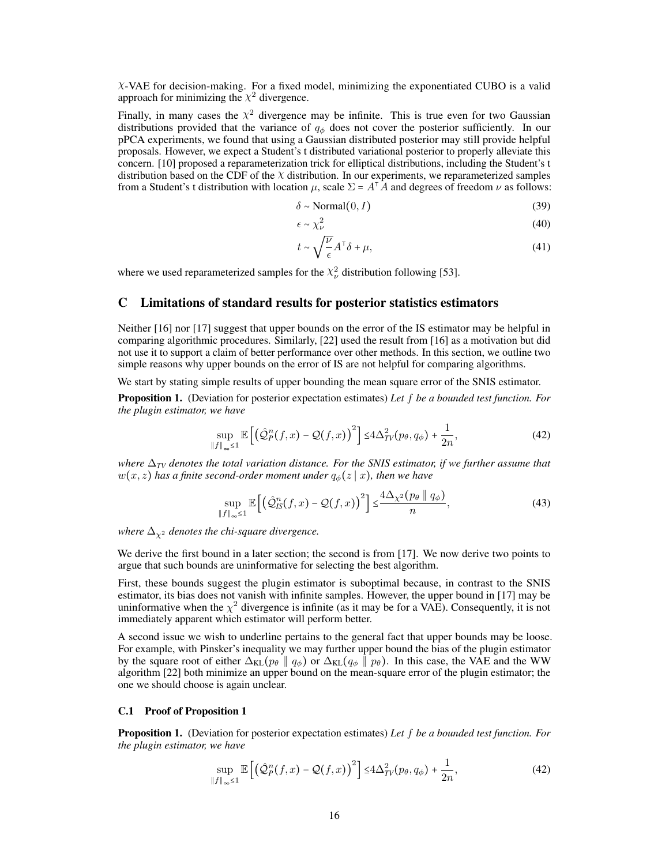$X$ -VAE for decision-making. For a fixed model, minimizing the exponentiated CUBO is a valid approach for minimizing the  $\chi^2$  divergence.

Finally, in many cases the  $\chi^2$  divergence may be infinite. This is true even for two Gaussian distributions provided that the variance of  $q_{\phi}$  does not cover the posterior sufficiently. In our pPCA experiments, we found that using a Gaussian distributed posterior may still provide helpful proposals. However, we expect a Student's t distributed variational posterior to properly alleviate this concern. [\[10\]](#page--1-8) proposed a reparameterization trick for elliptical distributions, including the Student's t distribution based on the CDF of the  $\chi$  distribution. In our experiments, we reparameterized samples from a Student's t distribution with location  $\mu$ , scale  $\Sigma = A^T \hat{A}$  and degrees of freedom  $\nu$  as follows:

$$
\delta \sim \text{Normal}(0, I) \tag{39}
$$

$$
\epsilon \sim \chi_{\nu}^2 \tag{40}
$$

$$
t \sim \sqrt{\frac{\nu}{\epsilon}} A^{\mathsf{T}} \delta + \mu,\tag{41}
$$

where we used reparameterized samples for the  $\chi^2_{\nu}$  distribution following [\[53\]](#page--1-10).

## <span id="page-3-0"></span>C Limitations of standard results for posterior statistics estimators

Neither [\[16\]](#page--1-5) nor [\[17\]](#page--1-11) suggest that upper bounds on the error of the IS estimator may be helpful in comparing algorithmic procedures. Similarly, [\[22\]](#page--1-7) used the result from [\[16\]](#page--1-5) as a motivation but did not use it to support a claim of better performance over other methods. In this section, we outline two simple reasons why upper bounds on the error of IS are not helpful for comparing algorithms.

We start by stating simple results of upper bounding the mean square error of the SNIS estimator.

Proposition 1. (Deviation for posterior expectation estimates) *Let* f *be a bounded test function. For the plugin estimator, we have*

$$
\sup_{\|f\|_{\infty}\leq 1} \mathbb{E}\left[\left(\hat{\mathcal{Q}}_P^n(f,x) - \mathcal{Q}(f,x)\right)^2\right] \leq 4\Delta_{TV}^2(p_\theta, q_\phi) + \frac{1}{2n},\tag{42}
$$

*where*  $\Delta_{TV}$  *denotes the total variation distance. For the SNIS estimator, if we further assume that*  $w(x, z)$  has a finite second-order moment under  $q_{\phi}(z | x)$ , then we have

$$
\sup_{\|f\|_{\infty}\leq 1} \mathbb{E}\left[\left(\hat{\mathcal{Q}}_{IS}^{n}(f,x) - \mathcal{Q}(f,x)\right)^{2}\right] \leq \frac{4\Delta_{\chi^{2}}(p_{\theta} \parallel q_{\phi})}{n},\tag{43}
$$

*where*  $\Delta_{\chi^2}$  *denotes the chi-square divergence.* 

We derive the first bound in a later section; the second is from [\[17\]](#page--1-11). We now derive two points to argue that such bounds are uninformative for selecting the best algorithm.

First, these bounds suggest the plugin estimator is suboptimal because, in contrast to the SNIS estimator, its bias does not vanish with infinite samples. However, the upper bound in [\[17\]](#page--1-11) may be uninformative when the  $\chi^2$  divergence is infinite (as it may be for a VAE). Consequently, it is not immediately apparent which estimator will perform better.

A second issue we wish to underline pertains to the general fact that upper bounds may be loose. For example, with Pinsker's inequality we may further upper bound the bias of the plugin estimator by the square root of either  $\Delta_{KL}(p_{\theta} \parallel q_{\phi})$  or  $\Delta_{KL}(q_{\phi} \parallel p_{\theta})$ . In this case, the VAE and the WW algorithm [\[22\]](#page--1-7) both minimize an upper bound on the mean-square error of the plugin estimator; the one we should choose is again unclear.

#### C.1 Proof of Proposition 1

Proposition 1. (Deviation for posterior expectation estimates) *Let* f *be a bounded test function. For the plugin estimator, we have*

$$
\sup_{\|f\|_{\infty}\leq 1} \mathbb{E}\left[\left(\hat{\mathcal{Q}}_P^n(f,x) - \mathcal{Q}(f,x)\right)^2\right] \leq 4\Delta_{TV}^2(p_\theta, q_\phi) + \frac{1}{2n},\tag{42}
$$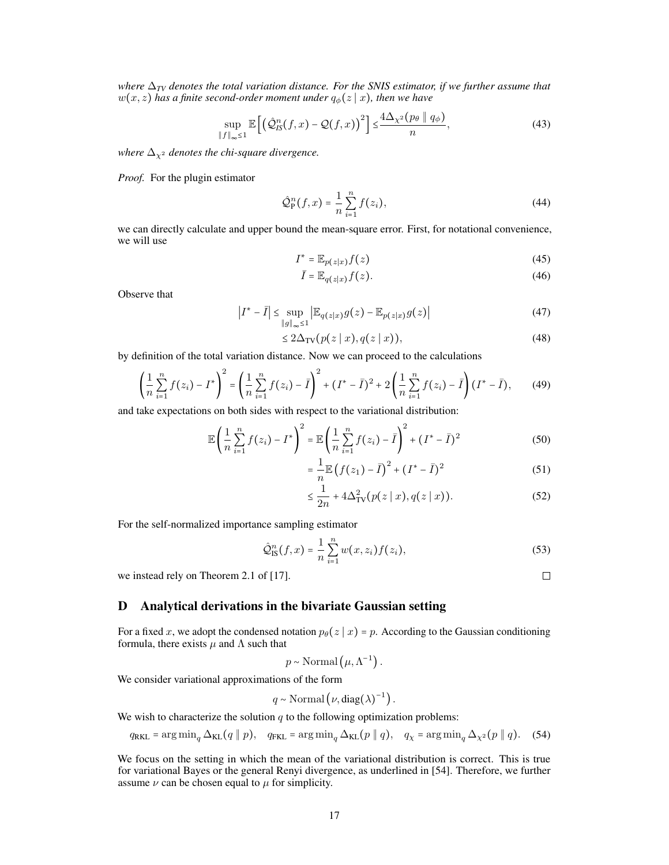*where*  $\Delta_{TV}$  *denotes the total variation distance. For the SNIS estimator, if we further assume that*  $w(x, z)$  *has a finite second-order moment under*  $q_{\phi}(z | x)$ *, then we have* 

$$
\sup_{\|f\|_{\infty}\leq 1} \mathbb{E}\left[\left(\hat{\mathcal{Q}}_{IS}^n(f,x) - \mathcal{Q}(f,x)\right)^2\right] \leq \frac{4\Delta_{\chi^2}(p_\theta \parallel q_\phi)}{n},\tag{43}
$$

*where*  $\Delta_{\chi^2}$  *denotes the chi-square divergence.* 

*Proof.* For the plugin estimator

$$
\hat{Q}_{\mathbf{P}}^n(f, x) = \frac{1}{n} \sum_{i=1}^n f(z_i),
$$
\n(44)

we can directly calculate and upper bound the mean-square error. First, for notational convenience, we will use

$$
I^* = \mathbb{E}_{p(z|x)} f(z) \tag{45}
$$

$$
\bar{I} = \mathbb{E}_{q(z|x)} f(z). \tag{46}
$$

Observe that

$$
\left|I^* - \bar{I}\right| \le \sup_{\|g\|_{\infty} \le 1} \left| \mathbb{E}_{q(z|x)} g(z) - \mathbb{E}_{p(z|x)} g(z) \right| \tag{47}
$$

$$
\leq 2\Delta_{\rm TV}(p(z|x), q(z|x)),\tag{48}
$$

by definition of the total variation distance. Now we can proceed to the calculations

$$
\left(\frac{1}{n}\sum_{i=1}^{n}f(z_i) - I^*\right)^2 = \left(\frac{1}{n}\sum_{i=1}^{n}f(z_i) - \bar{I}\right)^2 + (I^* - \bar{I})^2 + 2\left(\frac{1}{n}\sum_{i=1}^{n}f(z_i) - \bar{I}\right)(I^* - \bar{I}),\tag{49}
$$

and take expectations on both sides with respect to the variational distribution:

$$
\mathbb{E}\left(\frac{1}{n}\sum_{i=1}^{n}f(z_i) - I^*\right)^2 = \mathbb{E}\left(\frac{1}{n}\sum_{i=1}^{n}f(z_i) - \bar{I}\right)^2 + (I^* - \bar{I})^2
$$
(50)

$$
= \frac{1}{n} \mathbb{E} (f(z_1) - \bar{I})^2 + (I^* - \bar{I})^2
$$
 (51)

$$
\leq \frac{1}{2n} + 4\Delta_{\rm TV}^2(p(z \mid x), q(z \mid x)).\tag{52}
$$

For the self-normalized importance sampling estimator

$$
\hat{\mathcal{Q}}_{\text{IS}}^n(f, x) = \frac{1}{n} \sum_{i=1}^n w(x, z_i) f(z_i), \tag{53}
$$

we instead rely on Theorem 2.1 of [\[17\]](#page--1-11).

# <span id="page-4-0"></span>D Analytical derivations in the bivariate Gaussian setting

For a fixed x, we adopt the condensed notation  $p_\theta(z | x) = p$ . According to the Gaussian conditioning formula, there exists  $\mu$  and  $\Lambda$  such that

 $p \sim \text{Normal}(\mu, \Lambda^{-1}).$ 

We consider variational approximations of the form

$$
q \sim \text{Normal}\left(\nu, \text{diag}(\lambda)^{-1}\right).
$$

We wish to characterize the solution  $q$  to the following optimization problems:

$$
q_{\text{RKL}} = \arg\min_{q} \Delta_{\text{KL}}(q \parallel p), \quad q_{\text{FKL}} = \arg\min_{q} \Delta_{\text{KL}}(p \parallel q), \quad q_{\chi} = \arg\min_{q} \Delta_{\chi^2}(p \parallel q). \tag{54}
$$

We focus on the setting in which the mean of the variational distribution is correct. This is true for variational Bayes or the general Renyi divergence, as underlined in [\[54\]](#page--1-12). Therefore, we further assume  $\nu$  can be chosen equal to  $\mu$  for simplicity.

 $\Box$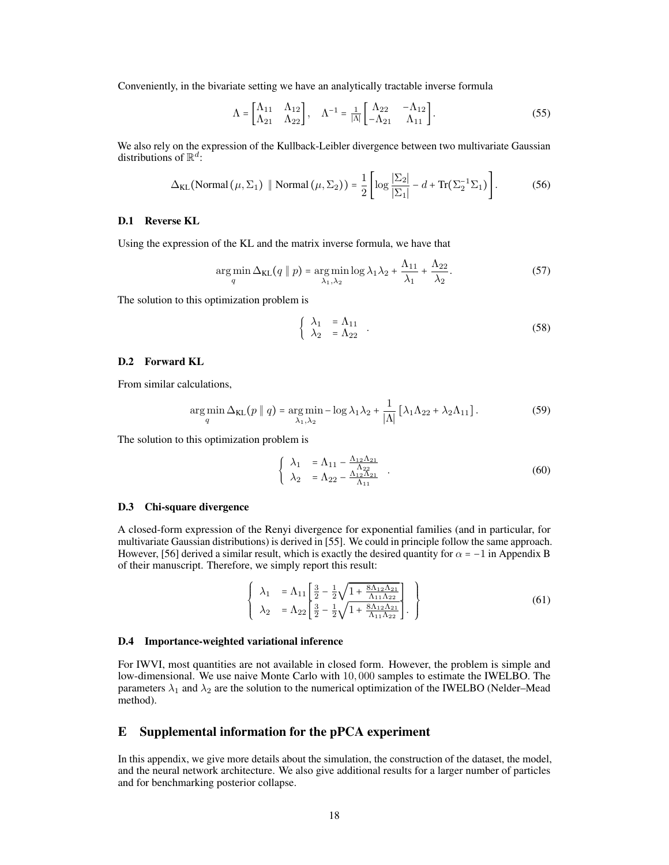Conveniently, in the bivariate setting we have an analytically tractable inverse formula

$$
\Lambda = \begin{bmatrix} \Lambda_{11} & \Lambda_{12} \\ \Lambda_{21} & \Lambda_{22} \end{bmatrix}, \quad \Lambda^{-1} = \frac{1}{|\Lambda|} \begin{bmatrix} \Lambda_{22} & -\Lambda_{12} \\ -\Lambda_{21} & \Lambda_{11} \end{bmatrix} . \tag{55}
$$

We also rely on the expression of the Kullback-Leibler divergence between two multivariate Gaussian distributions of  $\mathbb{R}^d$ :

$$
\Delta_{\text{KL}}(\text{Normal}(\mu, \Sigma_1) \parallel \text{Normal}(\mu, \Sigma_2)) = \frac{1}{2} \left[ \log \frac{|\Sigma_2|}{|\Sigma_1|} - d + \text{Tr}(\Sigma_2^{-1} \Sigma_1) \right]. \tag{56}
$$

#### D.1 Reverse KL

Using the expression of the KL and the matrix inverse formula, we have that

$$
\underset{q}{\arg\min} \Delta_{\text{KL}}(q \parallel p) = \underset{\lambda_1, \lambda_2}{\arg\min} \log \lambda_1 \lambda_2 + \frac{\Lambda_{11}}{\lambda_1} + \frac{\Lambda_{22}}{\lambda_2}.\tag{57}
$$

The solution to this optimization problem is

$$
\begin{cases}\n\lambda_1 = \Lambda_{11} \\
\lambda_2 = \Lambda_{22}\n\end{cases}.
$$
\n(58)

## D.2 Forward KL

From similar calculations,

$$
\underset{q}{\arg\min} \Delta_{\text{KL}}(p \parallel q) = \underset{\lambda_1, \lambda_2}{\arg\min} -\log \lambda_1 \lambda_2 + \frac{1}{|\Lambda|} \left[ \lambda_1 \Lambda_{22} + \lambda_2 \Lambda_{11} \right]. \tag{59}
$$

The solution to this optimization problem is

$$
\begin{cases}\n\lambda_1 = \Lambda_{11} - \frac{\Lambda_{12}\Lambda_{21}}{\Lambda_{22}} \\
\lambda_2 = \Lambda_{22} - \frac{\Lambda_{12}\Lambda_{21}}{\Lambda_{11}}\n\end{cases} (60)
$$

#### D.3 Chi-square divergence

A closed-form expression of the Renyi divergence for exponential families (and in particular, for multivariate Gaussian distributions) is derived in [\[55\]](#page--1-13). We could in principle follow the same approach. However, [\[56\]](#page--1-14) derived a similar result, which is exactly the desired quantity for  $\alpha = -1$  in Appendix B of their manuscript. Therefore, we simply report this result:

$$
\begin{cases}\n\lambda_1 = \Lambda_{11} \left[ \frac{3}{2} - \frac{1}{2} \sqrt{1 + \frac{8\Lambda_{12}\Lambda_{21}}{\Lambda_{11}\Lambda_{22}}} \right] \\
\lambda_2 = \Lambda_{22} \left[ \frac{3}{2} - \frac{1}{2} \sqrt{1 + \frac{8\Lambda_{12}\Lambda_{21}}{\Lambda_{11}\Lambda_{22}}} \right].\n\end{cases}
$$
\n(61)

#### D.4 Importance-weighted variational inference

For IWVI, most quantities are not available in closed form. However, the problem is simple and low-dimensional. We use naive Monte Carlo with 10, 000 samples to estimate the IWELBO. The parameters  $\lambda_1$  and  $\lambda_2$  are the solution to the numerical optimization of the IWELBO (Nelder–Mead method).

# <span id="page-5-0"></span>E Supplemental information for the pPCA experiment

In this appendix, we give more details about the simulation, the construction of the dataset, the model, and the neural network architecture. We also give additional results for a larger number of particles and for benchmarking posterior collapse.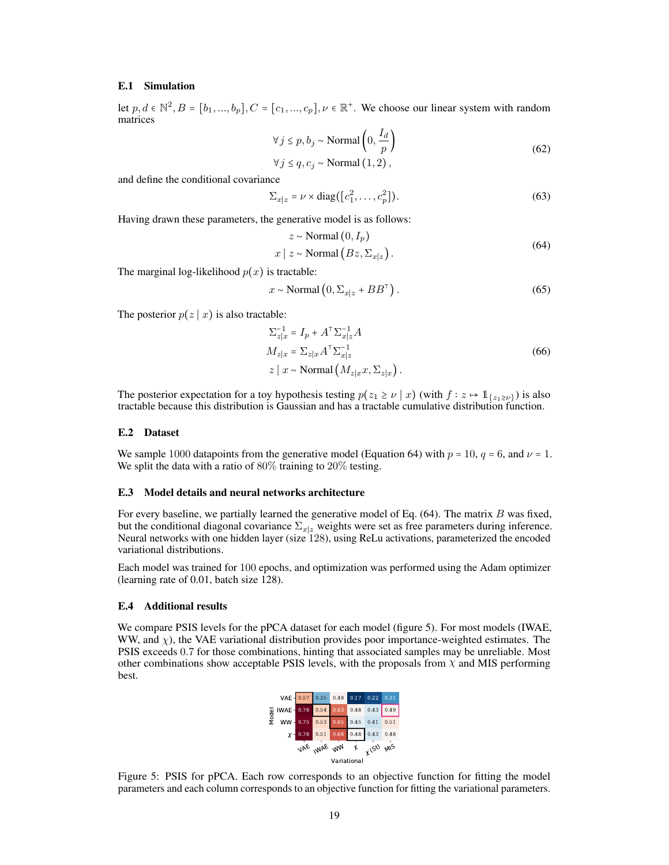#### E.1 Simulation

let  $p, d \in \mathbb{N}^2, B = [b_1, ..., b_p], C = [c_1, ..., c_p], \nu \in \mathbb{R}^+$ . We choose our linear system with random matrices

$$
\forall j \le p, b_j \sim \text{Normal}\left(0, \frac{I_d}{p}\right)
$$
  
\n
$$
\forall j \le q, c_j \sim \text{Normal}(1, 2),
$$
\n(62)

and define the conditional covariance

$$
\Sigma_{x|z} = \nu \times \text{diag}([c_1^2, \dots, c_p^2]). \tag{63}
$$

<span id="page-6-0"></span>Having drawn these parameters, the generative model is as follows:

$$
z \sim \text{Normal}(0, I_p)
$$
  

$$
x \mid z \sim \text{Normal}(Bz, \Sigma_{x|z}).
$$
 (64)

The marginal log-likelihood  $p(x)$  is tractable:

$$
x \sim \text{Normal}\left(0, \Sigma_{x|z} + BB^{\top}\right). \tag{65}
$$

The posterior  $p(z | x)$  is also tractable:

$$
\Sigma_{z|x}^{-1} = I_p + A^{\mathsf{T}} \Sigma_{x|z}^{-1} A
$$
  
\n
$$
M_{z|x} = \Sigma_{z|x} A^{\mathsf{T}} \Sigma_{x|z}^{-1}
$$
  
\n
$$
z | x \sim \text{Normal} \left( M_{z|x} x, \Sigma_{z|x} \right).
$$
\n(66)

The posterior expectation for a toy hypothesis testing  $p(z_1 \ge \nu \mid x)$  (with  $f : z \mapsto \mathbb{1}_{\{z_1 \ge \nu\}}$ ) is also tractable because this distribution is Gaussian and has a tractable cumulative distribution function.

#### E.2 Dataset

We sample 1000 datapoints from the generative model (Equation [64\)](#page-6-0) with  $p = 10$ ,  $q = 6$ , and  $\nu = 1$ . We split the data with a ratio of 80% training to 20% testing.

#### E.3 Model details and neural networks architecture

For every baseline, we partially learned the generative model of Eq.  $(64)$ . The matrix B was fixed, but the conditional diagonal covariance  $\Sigma_{x|x}$  weights were set as free parameters during inference. Neural networks with one hidden layer (size 128), using ReLu activations, parameterized the encoded variational distributions.

Each model was trained for 100 epochs, and optimization was performed using the Adam optimizer (learning rate of 0.01, batch size 128).

## E.4 Additional results

<span id="page-6-1"></span>We compare PSIS levels for the pPCA dataset for each model (figure [5\)](#page-6-1). For most models (IWAE, WW, and  $\chi$ ), the VAE variational distribution provides poor importance-weighted estimates. The PSIS exceeds 0.7 for those combinations, hinting that associated samples may be unreliable. Most other combinations show acceptable PSIS levels, with the proposals from  $\chi$  and MIS performing best.



Figure 5: PSIS for pPCA. Each row corresponds to an objective function for fitting the model parameters and each column corresponds to an objective function for fitting the variational parameters.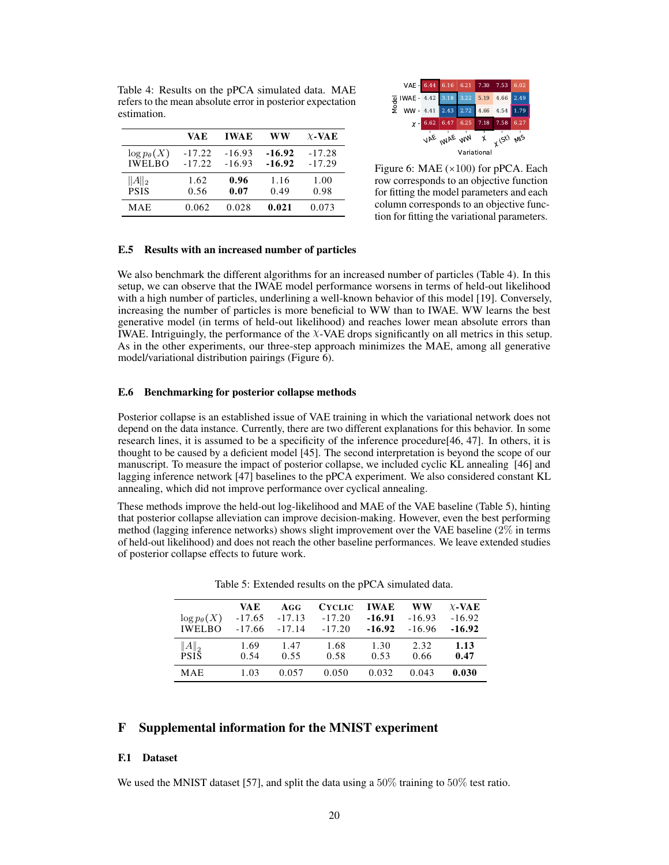|                                       | VA E                 | <b>IWAE</b>          | ww                   | $\chi$ -VAE          |
|---------------------------------------|----------------------|----------------------|----------------------|----------------------|
| $\log p_{\theta}(X)$<br><b>IWELBO</b> | $-17.22$<br>$-17.22$ | $-16.93$<br>$-16.93$ | $-16.92$<br>$-16.92$ | $-17.28$<br>$-17.29$ |
| $  A  _2$<br><b>PSIS</b>              | 1.62<br>0.56         | 0.96<br>0.07         | 1.16<br>0.49         | 1.00<br>0.98         |
| MAE                                   | 0.062                | 0.028                | 0.021                | 0.073                |

<span id="page-7-2"></span><span id="page-7-1"></span>Table 4: Results on the pPCA simulated data. MAE refers to the mean absolute error in posterior expectation

estimation.



Figure 6: MAE (×100) for pPCA. Each row corresponds to an objective function for fitting the model parameters and each column corresponds to an objective function for fitting the variational parameters.

#### E.5 Results with an increased number of particles

We also benchmark the different algorithms for an increased number of particles (Table [4\)](#page-7-1). In this setup, we can observe that the IWAE model performance worsens in terms of held-out likelihood with a high number of particles, underlining a well-known behavior of this model [\[19\]](#page--1-15). Conversely, increasing the number of particles is more beneficial to WW than to IWAE. WW learns the best generative model (in terms of held-out likelihood) and reaches lower mean absolute errors than IWAE. Intriguingly, the performance of the χ-VAE drops significantly on all metrics in this setup. As in the other experiments, our three-step approach minimizes the MAE, among all generative model/variational distribution pairings (Figure [6\)](#page-7-2).

#### E.6 Benchmarking for posterior collapse methods

Posterior collapse is an established issue of VAE training in which the variational network does not depend on the data instance. Currently, there are two different explanations for this behavior. In some research lines, it is assumed to be a specificity of the inference procedure[\[46,](#page--1-16) [47\]](#page--1-17). In others, it is thought to be caused by a deficient model [\[45\]](#page--1-18). The second interpretation is beyond the scope of our manuscript. To measure the impact of posterior collapse, we included cyclic KL annealing [\[46\]](#page--1-16) and lagging inference network [\[47\]](#page--1-17) baselines to the pPCA experiment. We also considered constant KL annealing, which did not improve performance over cyclical annealing.

These methods improve the held-out log-likelihood and MAE of the VAE baseline (Table [5\)](#page-7-3), hinting that posterior collapse alleviation can improve decision-making. However, even the best performing method (lagging inference networks) shows slight improvement over the VAE baseline (2% in terms of held-out likelihood) and does not reach the other baseline performances. We leave extended studies of posterior collapse effects to future work.

<span id="page-7-3"></span>

| $\log p_{\theta}(X)$<br><b>IWELBO</b> | <b>VAE</b><br>$-17.65$<br>$-17.66$ | AGG<br>$-17.13$<br>$-17.14$ | <b>CYCLIC</b><br>$-17.20$<br>$-17.20$ | <b>IWAE</b><br>$-16.91$<br>$-16.92$ | WW<br>$-16.93$<br>$-16.96$ | $\chi$ -VAE<br>$-16.92$<br>$-16.92$ |
|---------------------------------------|------------------------------------|-----------------------------|---------------------------------------|-------------------------------------|----------------------------|-------------------------------------|
| $  A  _2$<br><b>PSIS</b>              | 1.69<br>0.54                       | 1.47<br>0.55                | 1.68<br>0.58                          | 1.30<br>0.53                        | 2.32<br>0.66               | 1.13<br>0.47                        |
| <b>MAE</b>                            | 1.03                               | 0.057                       | 0.050                                 | 0.032                               | 0.043                      | 0.030                               |

Table 5: Extended results on the pPCA simulated data.

# <span id="page-7-0"></span>F Supplemental information for the MNIST experiment

#### F.1 Dataset

We used the MNIST dataset [\[57\]](#page--1-19), and split the data using a  $50\%$  training to  $50\%$  test ratio.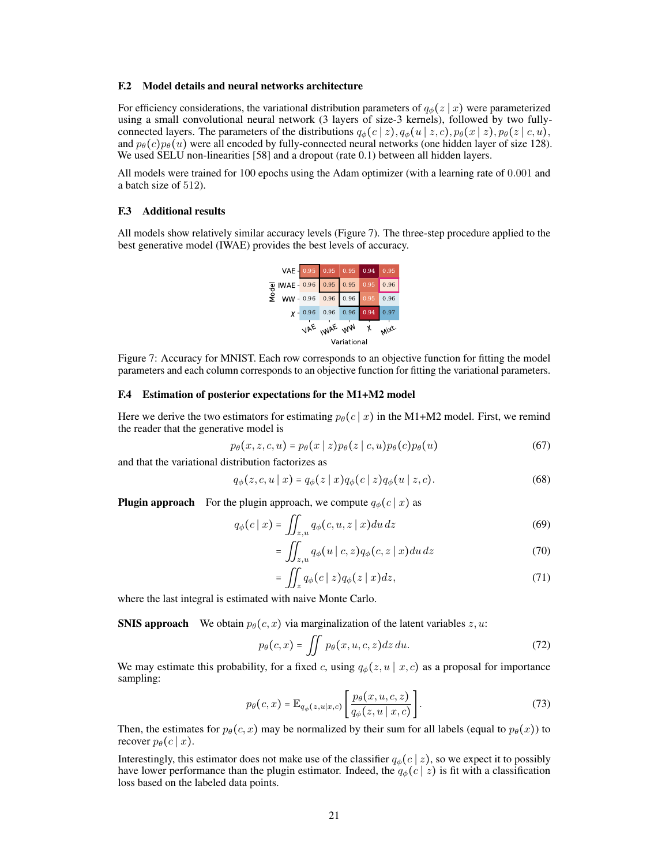#### F.2 Model details and neural networks architecture

For efficiency considerations, the variational distribution parameters of  $q_{\phi}(z | x)$  were parameterized using a small convolutional neural network (3 layers of size-3 kernels), followed by two fullyconnected layers. The parameters of the distributions  $q_{\phi}(c | z), q_{\phi}(u | z, c), p_{\theta}(x | z), p_{\theta}(z | c, u),$ and  $p_{\theta}(c)p_{\theta}(u)$  were all encoded by fully-connected neural networks (one hidden layer of size 128). We used SELU non-linearities [\[58\]](#page--1-20) and a dropout (rate 0.1) between all hidden layers.

All models were trained for 100 epochs using the Adam optimizer (with a learning rate of 0.001 and a batch size of 512).

#### F.3 Additional results

<span id="page-8-0"></span>All models show relatively similar accuracy levels (Figure [7\)](#page-8-0). The three-step procedure applied to the best generative model (IWAE) provides the best levels of accuracy.



Figure 7: Accuracy for MNIST. Each row corresponds to an objective function for fitting the model parameters and each column corresponds to an objective function for fitting the variational parameters.

#### F.4 Estimation of posterior expectations for the M1+M2 model

Here we derive the two estimators for estimating  $p_{\theta}(c | x)$  in the M1+M2 model. First, we remind the reader that the generative model is

$$
p_{\theta}(x, z, c, u) = p_{\theta}(x \mid z) p_{\theta}(z \mid c, u) p_{\theta}(c) p_{\theta}(u)
$$
\n(67)

and that the variational distribution factorizes as

$$
q_{\phi}(z, c, u \mid x) = q_{\phi}(z \mid x) q_{\phi}(c \mid z) q_{\phi}(u \mid z, c).
$$
 (68)

**Plugin approach** For the plugin approach, we compute  $q_{\phi}(c | x)$  as

$$
q_{\phi}(c \mid x) = \iint_{z,u} q_{\phi}(c, u, z \mid x) du dz \tag{69}
$$

$$
= \iint_{z,u} q_{\phi}(u \mid c, z) q_{\phi}(c, z \mid x) du dz \tag{70}
$$

$$
= \iint_{z} q_{\phi}(c \mid z) q_{\phi}(z \mid x) dz, \tag{71}
$$

where the last integral is estimated with naive Monte Carlo.

**SNIS approach** We obtain  $p_\theta(c, x)$  via marginalization of the latent variables z, u:

$$
p_{\theta}(c,x) = \iint p_{\theta}(x,u,c,z)dz du.
$$
 (72)

We may estimate this probability, for a fixed c, using  $q_{\phi}(z, u \mid x, c)$  as a proposal for importance sampling:

$$
p_{\theta}(c,x) = \mathbb{E}_{q_{\phi}(z,u|x,c)} \left[ \frac{p_{\theta}(x,u,c,z)}{q_{\phi}(z,u|x,c)} \right].
$$
 (73)

Then, the estimates for  $p_{\theta}(c, x)$  may be normalized by their sum for all labels (equal to  $p_{\theta}(x)$ ) to recover  $p_{\theta}(c | x)$ .

Interestingly, this estimator does not make use of the classifier  $q_{\phi}(c | z)$ , so we expect it to possibly have lower performance than the plugin estimator. Indeed, the  $q_{\phi}(c | z)$  is fit with a classification loss based on the labeled data points.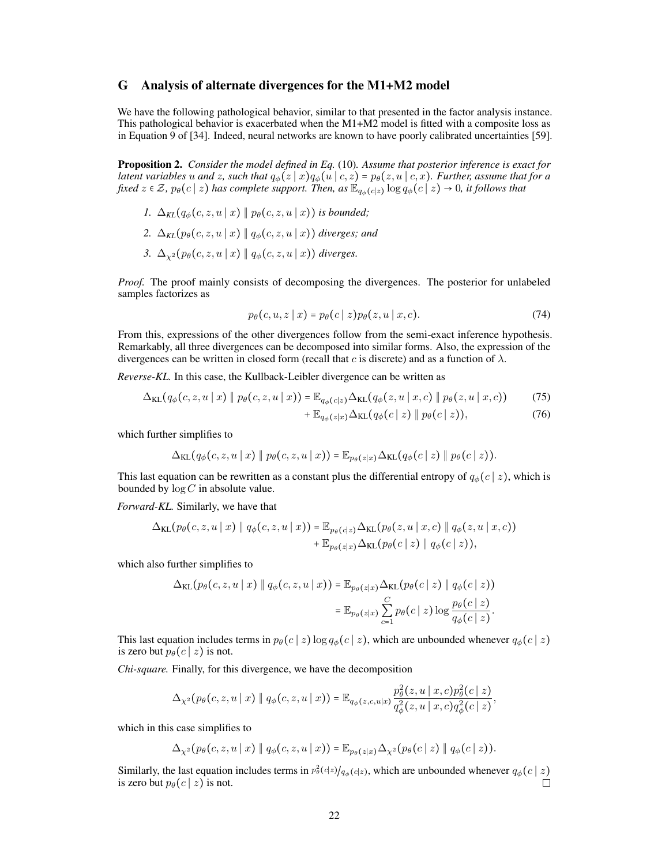# <span id="page-9-0"></span>G Analysis of alternate divergences for the M1+M2 model

We have the following pathological behavior, similar to that presented in the factor analysis instance. This pathological behavior is exacerbated when the M1+M2 model is fitted with a composite loss as in Equation 9 of [\[34\]](#page--1-21). Indeed, neural networks are known to have poorly calibrated uncertainties [\[59\]](#page--1-22).

Proposition 2. *Consider the model defined in Eq.* [\(10\)](#page--1-23)*. Assume that posterior inference is exact for latent variables* u and z, such that  $q_{\phi}(z | x)q_{\phi}(u | c, z) = p_{\theta}(z, u | c, x)$ *. Further, assume that for a fixed*  $z \in \mathcal{Z}$ ,  $p_{\theta}(c | z)$  *has complete support. Then, as*  $\mathbb{E}_{q_{\phi}(c | z)} \log q_{\phi}(c | z) \to 0$ *, it follows that* 

- *1.*  $\Delta_{KL}(q_{\phi}(c, z, u \mid x) \parallel p_{\theta}(c, z, u \mid x))$  *is bounded*;
- 2.  $\Delta_{KL}(p_{\theta}(c, z, u \mid x) \parallel q_{\phi}(c, z, u \mid x))$  *diverges; and*
- *3.*  $\Delta_{x^2}(p_{\theta}(c, z, u | x) || q_{\phi}(c, z, u | x))$  *diverges.*

*Proof.* The proof mainly consists of decomposing the divergences. The posterior for unlabeled samples factorizes as

$$
p_{\theta}(c, u, z \mid x) = p_{\theta}(c \mid z) p_{\theta}(z, u \mid x, c).
$$
 (74)

From this, expressions of the other divergences follow from the semi-exact inference hypothesis. Remarkably, all three divergences can be decomposed into similar forms. Also, the expression of the divergences can be written in closed form (recall that c is discrete) and as a function of  $\lambda$ .

*Reverse-KL.* In this case, the Kullback-Leibler divergence can be written as

$$
\Delta_{\text{KL}}(q_{\phi}(c, z, u \mid x) \parallel p_{\theta}(c, z, u \mid x)) = \mathbb{E}_{q_{\phi}(c|z)} \Delta_{\text{KL}}(q_{\phi}(z, u \mid x, c) \parallel p_{\theta}(z, u \mid x, c)) \tag{75}
$$

$$
+\mathbb{E}_{q_{\phi}(z|x)}\Delta_{\text{KL}}(q_{\phi}(c\,|\,z)\,\|\,p_{\theta}(c\,|\,z)),\tag{76}
$$

which further simplifies to

$$
\Delta_{\text{KL}}(q_{\phi}(c, z, u \mid x) \parallel p_{\theta}(c, z, u \mid x)) = \mathbb{E}_{p_{\theta}(z \mid x)} \Delta_{\text{KL}}(q_{\phi}(c \mid z) \parallel p_{\theta}(c \mid z)).
$$

This last equation can be rewritten as a constant plus the differential entropy of  $q_{\phi}(c | z)$ , which is bounded by  $\log C$  in absolute value.

*Forward-KL.* Similarly, we have that

$$
\Delta_{\text{KL}}(p_{\theta}(c, z, u \mid x) \parallel q_{\phi}(c, z, u \mid x)) = \mathbb{E}_{p_{\theta}(c|z)} \Delta_{\text{KL}}(p_{\theta}(z, u \mid x, c) \parallel q_{\phi}(z, u \mid x, c)) + \mathbb{E}_{p_{\theta}(z|x)} \Delta_{\text{KL}}(p_{\theta}(c \mid z) \parallel q_{\phi}(c \mid z)),
$$

which also further simplifies to

$$
\Delta_{\text{KL}}(p_{\theta}(c, z, u \mid x) \parallel q_{\phi}(c, z, u \mid x)) = \mathbb{E}_{p_{\theta}(z \mid x)} \Delta_{\text{KL}}(p_{\theta}(c \mid z) \parallel q_{\phi}(c \mid z))
$$

$$
= \mathbb{E}_{p_{\theta}(z \mid x)} \sum_{c=1}^{C} p_{\theta}(c \mid z) \log \frac{p_{\theta}(c \mid z)}{q_{\phi}(c \mid z)}.
$$

This last equation includes terms in  $p_{\theta}(c | z) \log q_{\phi}(c | z)$ , which are unbounded whenever  $q_{\phi}(c | z)$ is zero but  $p_{\theta}(c | z)$  is not.

*Chi-square.* Finally, for this divergence, we have the decomposition

$$
\Delta_{\chi^2}(p_\theta(c,z,u\mid x)\parallel q_\phi(c,z,u\mid x))=\mathbb{E}_{q_\phi(z,c,u\mid x)}\frac{p_\theta^2(z,u\mid x,c)p_\theta^2(c\mid z)}{q_\phi^2(z,u\mid x,c)q_\phi^2(c\mid z)},
$$

which in this case simplifies to

 $\Delta_{\chi^2}(p_{\theta}(c, z, u \mid x) \mid q_{\phi}(c, z, u \mid x)) = \mathbb{E}_{p_{\theta}(z|x)} \Delta_{\chi^2}(p_{\theta}(c \mid z) \mid q_{\phi}(c \mid z)).$ 

Similarly, the last equation includes terms in  $p_\theta^2(c|z)/q_\phi(c|z)$ , which are unbounded whenever  $q_\phi(c|z)$ is zero but  $p_{\theta}(c | z)$  is not.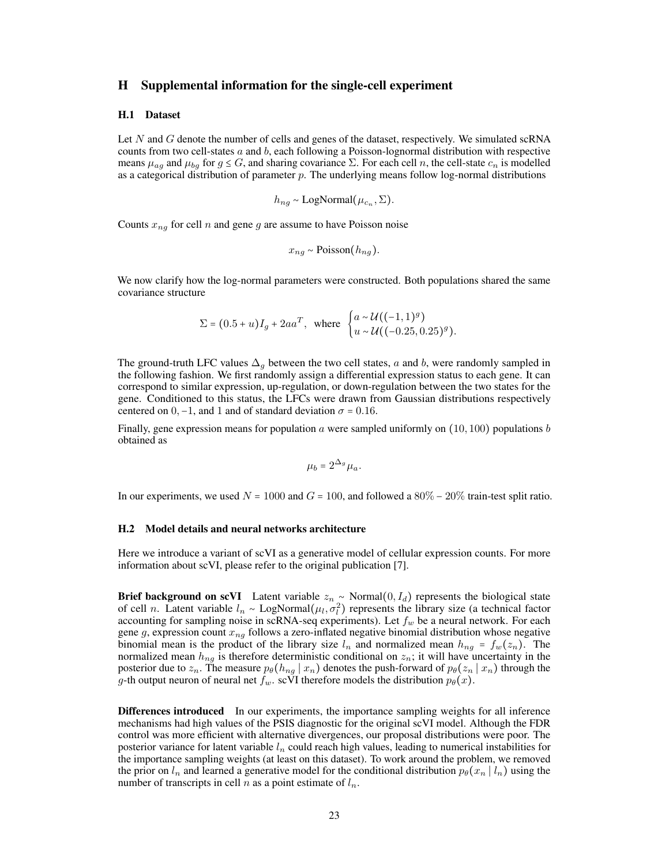## <span id="page-10-0"></span>H Supplemental information for the single-cell experiment

#### H.1 Dataset

Let N and G denote the number of cells and genes of the dataset, respectively. We simulated scRNA counts from two cell-states  $a$  and  $b$ , each following a Poisson-lognormal distribution with respective means  $\mu_{ag}$  and  $\mu_{bg}$  for  $g \leq G$ , and sharing covariance  $\Sigma$ . For each cell n, the cell-state  $c_n$  is modelled as a categorical distribution of parameter  $p$ . The underlying means follow log-normal distributions

$$
h_{ng} \sim \text{LogNormal}(\mu_{c_n}, \Sigma).
$$

Counts  $x_{ng}$  for cell n and gene g are assume to have Poisson noise

$$
x_{ng} \sim \text{Poisson}(h_{ng}).
$$

We now clarify how the log-normal parameters were constructed. Both populations shared the same covariance structure

$$
\Sigma = (0.5 + u)I_g + 2aa^T, \text{ where } \begin{cases} a \sim \mathcal{U}((-1, 1)^g) \\ u \sim \mathcal{U}((-0.25, 0.25)^g). \end{cases}
$$

The ground-truth LFC values  $\Delta_q$  between the two cell states, a and b, were randomly sampled in the following fashion. We first randomly assign a differential expression status to each gene. It can correspond to similar expression, up-regulation, or down-regulation between the two states for the gene. Conditioned to this status, the LFCs were drawn from Gaussian distributions respectively centered on  $0, -1$ , and 1 and of standard deviation  $\sigma = 0.16$ .

Finally, gene expression means for population a were sampled uniformly on  $(10, 100)$  populations b obtained as

$$
\mu_b = 2^{\Delta_g} \mu_a.
$$

In our experiments, we used  $N = 1000$  and  $G = 100$ , and followed a 80% – 20% train-test split ratio.

#### H.2 Model details and neural networks architecture

Here we introduce a variant of scVI as a generative model of cellular expression counts. For more information about scVI, please refer to the original publication [\[7\]](#page--1-24).

**Brief background on scVI** Latent variable  $z_n \sim \text{Normal}(0, I_d)$  represents the biological state of cell *n*. Latent variable  $l_n \sim \text{LogNormal}(\mu_l, \sigma_l^2)$  represents the library size (a technical factor accounting for sampling noise in scRNA-seq experiments). Let  $f_w$  be a neural network. For each gene g, expression count  $x_{nq}$  follows a zero-inflated negative binomial distribution whose negative binomial mean is the product of the library size  $l_n$  and normalized mean  $h_{nq} = f_w(z_n)$ . The normalized mean  $h_{nq}$  is therefore deterministic conditional on  $z_n$ ; it will have uncertainty in the posterior due to  $z_n$ . The measure  $p_\theta(h_{ng} | x_n)$  denotes the push-forward of  $p_\theta(z_n | x_n)$  through the g-th output neuron of neural net  $f_w$ . scVI therefore models the distribution  $p_\theta(x)$ .

Differences introduced In our experiments, the importance sampling weights for all inference mechanisms had high values of the PSIS diagnostic for the original scVI model. Although the FDR control was more efficient with alternative divergences, our proposal distributions were poor. The posterior variance for latent variable  $l_n$  could reach high values, leading to numerical instabilities for the importance sampling weights (at least on this dataset). To work around the problem, we removed the prior on  $l_n$  and learned a generative model for the conditional distribution  $p_\theta(x_n | l_n)$  using the number of transcripts in cell n as a point estimate of  $l_n$ .